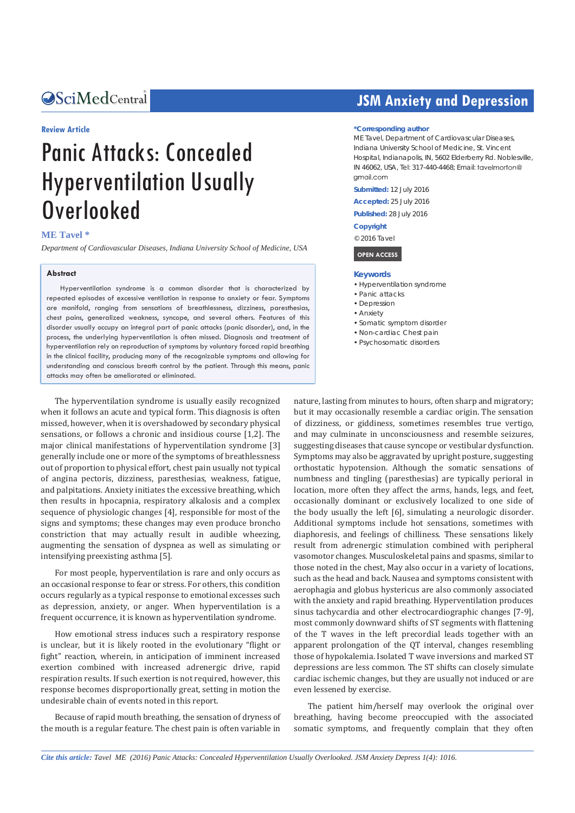# Central *Bringing Excellence in Open Access*

#### **Review Article**

# Panic Attacks: Concealed Hyperventilation Usually Overlooked

#### **ME Tavel \***

*Department of Cardiovascular Diseases, Indiana University School of Medicine, USA*

#### **Abstract**

Hyperventilation syndrome is a common disorder that is characterized by repeated episodes of excessive ventilation in response to anxiety or fear. Symptoms are manifold, ranging from sensations of breathlessness, dizziness, paresthesias, chest pains, generalized weakness, syncope, and several others. Features of this disorder usually occupy an integral part of panic attacks (panic disorder), and, in the process, the underlying hyperventilation is often missed. Diagnosis and treatment of hyperventilation rely on reproduction of symptoms by voluntary forced rapid breathing in the clinical facility, producing many of the recognizable symptoms and allowing for understanding and conscious breath control by the patient. Through this means, panic attacks may often be ameliorated or eliminated.

The hyperventilation syndrome is usually easily recognized when it follows an acute and typical form. This diagnosis is often missed, however, when it is overshadowed by secondary physical sensations, or follows a chronic and insidious course [1,2]. The major clinical manifestations of hyperventilation syndrome [3] generally include one or more of the symptoms of breathlessness out of proportion to physical effort, chest pain usually not typical of angina pectoris, dizziness, paresthesias, weakness, fatigue, and palpitations. Anxiety initiates the excessive breathing, which then results in hpocapnia, respiratory alkalosis and a complex sequence of physiologic changes [4], responsible for most of the signs and symptoms; these changes may even produce broncho constriction that may actually result in audible wheezing, augmenting the sensation of dyspnea as well as simulating or intensifying preexisting asthma [5].

For most people, hyperventilation is rare and only occurs as an occasional response to fear or stress. For others, this condition occurs regularly as a typical response to emotional excesses such as depression, anxiety, or anger. When hyperventilation is a frequent occurrence, it is known as hyperventilation syndrome.

How emotional stress induces such a respiratory response is unclear, but it is likely rooted in the evolutionary "flight or fight" reaction, wherein, in anticipation of imminent increased exertion combined with increased adrenergic drive, rapid respiration results. If such exertion is not required, however, this response becomes disproportionally great, setting in motion the undesirable chain of events noted in this report.

Because of rapid mouth breathing, the sensation of dryness of the mouth is a regular feature. The chest pain is often variable in

# **JSM Anxiety and Depression**

#### **\*Corresponding author**

ME Tavel, Department of Cardiovascular Diseases, Indiana University School of Medicine, St. Vincent Hospital, Indianapolis, IN, 5602 Elderberry Rd. Noblesville, IN 46062, USA, Tel: 317-440-4468; Email: amail com

**Submitted:** 12 July 2016

**Accepted:** 25 July 2016

**Published:** 28 July 2016

**Copyright**

© 2016 Tavel

#### **OPEN ACCESS**

#### **Keywords**

- • Hyperventilation syndrome
- • Panic attacks
- Depression
- • Anxiety
- • Somatic symptom disorder
- • Non-cardiac Chest pain
- • Psychosomatic disorders

nature, lasting from minutes to hours, often sharp and migratory; but it may occasionally resemble a cardiac origin. The sensation of dizziness, or giddiness, sometimes resembles true vertigo, and may culminate in unconsciousness and resemble seizures, suggesting diseases that cause syncope or vestibular dysfunction. Symptoms may also be aggravated by upright posture, suggesting orthostatic hypotension. Although the somatic sensations of numbness and tingling (paresthesias) are typically perioral in location, more often they affect the arms, hands, legs, and feet, occasionally dominant or exclusively localized to one side of the body usually the left [6], simulating a neurologic disorder. Additional symptoms include hot sensations, sometimes with diaphoresis, and feelings of chilliness. These sensations likely result from adrenergic stimulation combined with peripheral vasomotor changes. Musculoskeletal pains and spasms, similar to those noted in the chest, May also occur in a variety of locations, such as the head and back. Nausea and symptoms consistent with aerophagia and globus hystericus are also commonly associated with the anxiety and rapid breathing. Hyperventilation produces sinus tachycardia and other electrocardiographic changes [7-9], most commonly downward shifts of ST segments with flattening of the T waves in the left precordial leads together with an apparent prolongation of the QT interval, changes resembling those of hypokalemia. Isolated T wave inversions and marked ST depressions are less common. The ST shifts can closely simulate cardiac ischemic changes, but they are usually not induced or are even lessened by exercise.

The patient him/herself may overlook the original over breathing, having become preoccupied with the associated somatic symptoms, and frequently complain that they often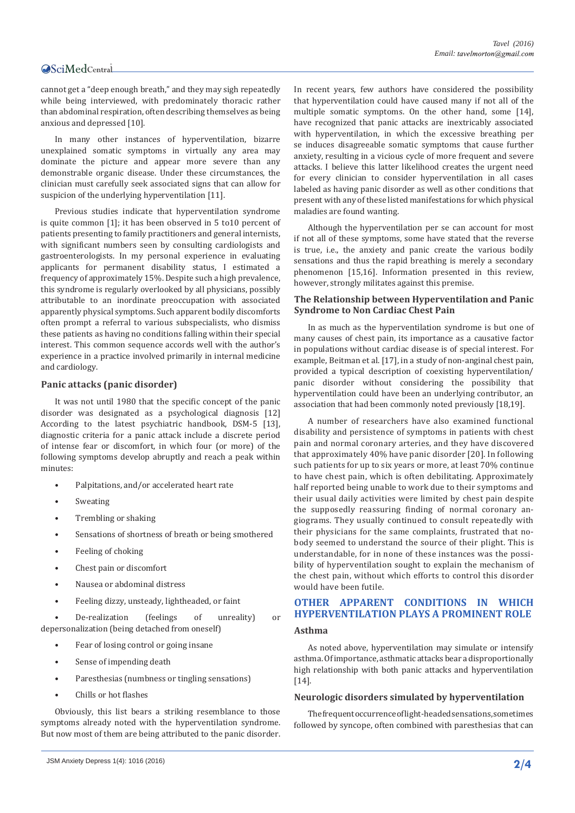# Central

cannot get a "deep enough breath," and they may sigh repeatedly while being interviewed, with predominately thoracic rather than abdominal respiration, often describing themselves as being anxious and depressed [10].

In many other instances of hyperventilation, bizarre unexplained somatic symptoms in virtually any area may dominate the picture and appear more severe than any demonstrable organic disease. Under these circumstances, the clinician must carefully seek associated signs that can allow for suspicion of the underlying hyperventilation [11].

Previous studies indicate that hyperventilation syndrome is quite common [1]; it has been observed in 5 to10 percent of patients presenting to family practitioners and general internists, with significant numbers seen by consulting cardiologists and gastroenterologists. In my personal experience in evaluating applicants for permanent disability status, I estimated a frequency of approximately 15%. Despite such a high prevalence, this syndrome is regularly overlooked by all physicians, possibly attributable to an inordinate preoccupation with associated apparently physical symptoms. Such apparent bodily discomforts often prompt a referral to various subspecialists, who dismiss these patients as having no conditions falling within their special interest. This common sequence accords well with the author's experience in a practice involved primarily in internal medicine and cardiology.

# **Panic attacks (panic disorder)**

It was not until 1980 that the specific concept of the panic disorder was designated as a psychological diagnosis [12] According to the latest psychiatric handbook, DSM-5 [13], diagnostic criteria for a panic attack include a discrete period of intense fear or discomfort, in which four (or more) of the following symptoms develop abruptly and reach a peak within minutes:

- Palpitations, and/or accelerated heart rate
- **Sweating**
- Trembling or shaking
- Sensations of shortness of breath or being smothered
- Feeling of choking
- Chest pain or discomfort
- Nausea or abdominal distress
- Feeling dizzy, unsteady, lightheaded, or faint

• De-realization (feelings of unreality) or depersonalization (being detached from oneself)

- Fear of losing control or going insane
- Sense of impending death
- Paresthesias (numbness or tingling sensations)
- Chills or hot flashes

Obviously, this list bears a striking resemblance to those symptoms already noted with the hyperventilation syndrome. But now most of them are being attributed to the panic disorder.

In recent years, few authors have considered the possibility that hyperventilation could have caused many if not all of the multiple somatic symptoms. On the other hand, some [14], have recognized that panic attacks are inextricably associated with hyperventilation, in which the excessive breathing per se induces disagreeable somatic symptoms that cause further anxiety, resulting in a vicious cycle of more frequent and severe attacks. I believe this latter likelihood creates the urgent need for every clinician to consider hyperventilation in all cases labeled as having panic disorder as well as other conditions that present with any of these listed manifestations for which physical maladies are found wanting.

Although the hyperventilation per se can account for most if not all of these symptoms, some have stated that the reverse is true, i.e., the anxiety and panic create the various bodily sensations and thus the rapid breathing is merely a secondary phenomenon [15,16]. Information presented in this review, however, strongly militates against this premise.

### **The Relationship between Hyperventilation and Panic Syndrome to Non Cardiac Chest Pain**

In as much as the hyperventilation syndrome is but one of many causes of chest pain, its importance as a causative factor in populations without cardiac disease is of special interest. For example, Beitman et al. [17], in a study of non-anginal chest pain, provided a typical description of coexisting hyperventilation/ panic disorder without considering the possibility that hyperventilation could have been an underlying contributor, an association that had been commonly noted previously [18,19].

A number of researchers have also examined functional disability and persistence of symptoms in patients with chest pain and normal coronary arteries, and they have discovered that approximately 40% have panic disorder [20]. In following such patients for up to six years or more, at least 70% continue to have chest pain, which is often debilitating. Approximately half reported being unable to work due to their symptoms and their usual daily activities were limited by chest pain despite the supposedly reassuring finding of normal coronary angiograms. They usually continued to consult repeatedly with their physicians for the same complaints, frustrated that nobody seemed to understand the source of their plight. This is understandable, for in none of these instances was the possibility of hyperventilation sought to explain the mechanism of the chest pain, without which efforts to control this disorder would have been futile.

# **OTHER APPARENT CONDITIONS IN WHICH HYPERVENTILATION PLAYS A PROMINENT ROLE**

#### **Asthma**

As noted above, hyperventilation may simulate or intensify asthma. Of importance, asthmatic attacks bear a disproportionally high relationship with both panic attacks and hyperventilation [14].

# **Neurologic disorders simulated by hyperventilation**

The frequent occurrence of light-headed sensations, sometimes followed by syncope, often combined with paresthesias that can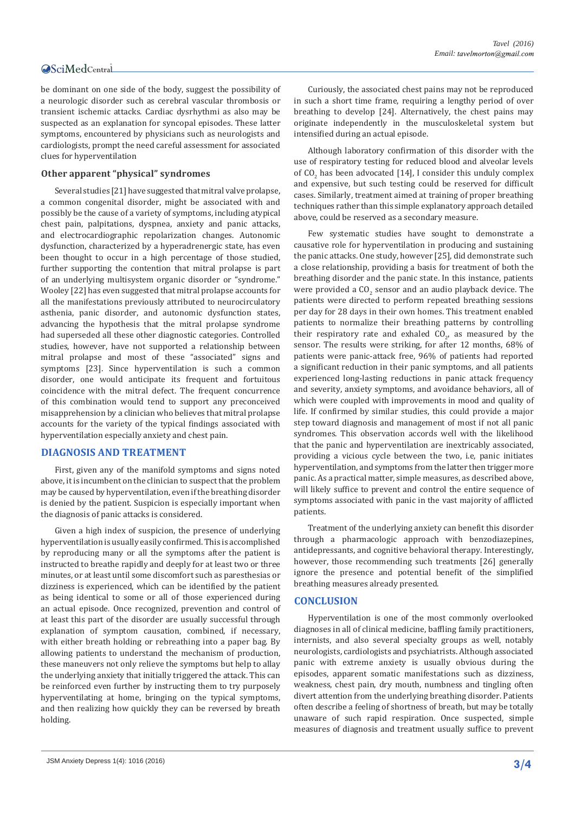# Central

be dominant on one side of the body, suggest the possibility of a neurologic disorder such as cerebral vascular thrombosis or transient ischemic attacks. Cardiac dysrhythmi as also may be suspected as an explanation for syncopal episodes. These latter symptoms, encountered by physicians such as neurologists and cardiologists, prompt the need careful assessment for associated clues for hyperventilation

# **Other apparent "physical" syndromes**

Several studies [21] have suggested that mitral valve prolapse, a common congenital disorder, might be associated with and possibly be the cause of a variety of symptoms, including atypical chest pain, palpitations, dyspnea, anxiety and panic attacks, and electrocardiographic repolarization changes. Autonomic dysfunction, characterized by a hyperadrenergic state, has even been thought to occur in a high percentage of those studied, further supporting the contention that mitral prolapse is part of an underlying multisystem organic disorder or "syndrome." Wooley [22] has even suggested that mitral prolapse accounts for all the manifestations previously attributed to neurocirculatory asthenia, panic disorder, and autonomic dysfunction states, advancing the hypothesis that the mitral prolapse syndrome had superseded all these other diagnostic categories. Controlled studies, however, have not supported a relationship between mitral prolapse and most of these "associated" signs and symptoms [23]. Since hyperventilation is such a common disorder, one would anticipate its frequent and fortuitous coincidence with the mitral defect. The frequent concurrence of this combination would tend to support any preconceived misapprehension by a clinician who believes that mitral prolapse accounts for the variety of the typical findings associated with hyperventilation especially anxiety and chest pain.

# **DIAGNOSIS AND TREATMENT**

First, given any of the manifold symptoms and signs noted above, it is incumbent on the clinician to suspect that the problem may be caused by hyperventilation, even if the breathing disorder is denied by the patient. Suspicion is especially important when the diagnosis of panic attacks is considered.

Given a high index of suspicion, the presence of underlying hyperventilation is usually easily confirmed. This is accomplished by reproducing many or all the symptoms after the patient is instructed to breathe rapidly and deeply for at least two or three minutes, or at least until some discomfort such as paresthesias or dizziness is experienced, which can be identified by the patient as being identical to some or all of those experienced during an actual episode. Once recognized, prevention and control of at least this part of the disorder are usually successful through explanation of symptom causation, combined, if necessary, with either breath holding or rebreathing into a paper bag. By allowing patients to understand the mechanism of production, these maneuvers not only relieve the symptoms but help to allay the underlying anxiety that initially triggered the attack. This can be reinforced even further by instructing them to try purposely hyperventilating at home, bringing on the typical symptoms, and then realizing how quickly they can be reversed by breath holding.

Curiously, the associated chest pains may not be reproduced in such a short time frame, requiring a lengthy period of over breathing to develop [24]. Alternatively, the chest pains may originate independently in the musculoskeletal system but intensified during an actual episode.

Although laboratory confirmation of this disorder with the use of respiratory testing for reduced blood and alveolar levels of  $CO_2$  has been advocated [14], I consider this unduly complex and expensive, but such testing could be reserved for difficult cases. Similarly, treatment aimed at training of proper breathing techniques rather than this simple explanatory approach detailed above, could be reserved as a secondary measure.

Few systematic studies have sought to demonstrate a causative role for hyperventilation in producing and sustaining the panic attacks. One study, however [25], did demonstrate such a close relationship, providing a basis for treatment of both the breathing disorder and the panic state. In this instance, patients were provided a  $\mathsf{CO}_2$  sensor and an audio playback device. The patients were directed to perform repeated breathing sessions per day for 28 days in their own homes. This treatment enabled patients to normalize their breathing patterns by controlling their respiratory rate and exhaled  $CO_{2'}$  as measured by the sensor. The results were striking, for after 12 months, 68% of patients were panic-attack free, 96% of patients had reported a significant reduction in their panic symptoms, and all patients experienced long-lasting reductions in panic attack frequency and severity, anxiety symptoms, and avoidance behaviors, all of which were coupled with improvements in mood and quality of life. If confirmed by similar studies, this could provide a major step toward diagnosis and management of most if not all panic syndromes. This observation accords well with the likelihood that the panic and hyperventilation are inextricably associated, providing a vicious cycle between the two, i.e, panic initiates hyperventilation, and symptoms from the latter then trigger more panic. As a practical matter, simple measures, as described above, will likely suffice to prevent and control the entire sequence of symptoms associated with panic in the vast majority of afflicted patients.

Treatment of the underlying anxiety can benefit this disorder through a pharmacologic approach with benzodiazepines, antidepressants, and cognitive behavioral therapy. Interestingly, however, those recommending such treatments [26] generally ignore the presence and potential benefit of the simplified breathing measures already presented.

#### **CONCLUSION**

Hyperventilation is one of the most commonly overlooked diagnoses in all of clinical medicine, baffling family practitioners, internists, and also several specialty groups as well, notably neurologists, cardiologists and psychiatrists. Although associated panic with extreme anxiety is usually obvious during the episodes, apparent somatic manifestations such as dizziness, weakness, chest pain, dry mouth, numbness and tingling often divert attention from the underlying breathing disorder. Patients often describe a feeling of shortness of breath, but may be totally unaware of such rapid respiration. Once suspected, simple measures of diagnosis and treatment usually suffice to prevent